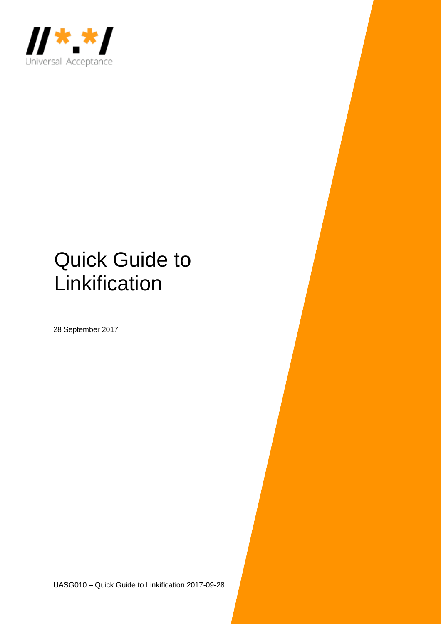

# Quick Guide to Linkification

28 September 2017

UASG010 – Quick Guide to Linkification 2017-09-28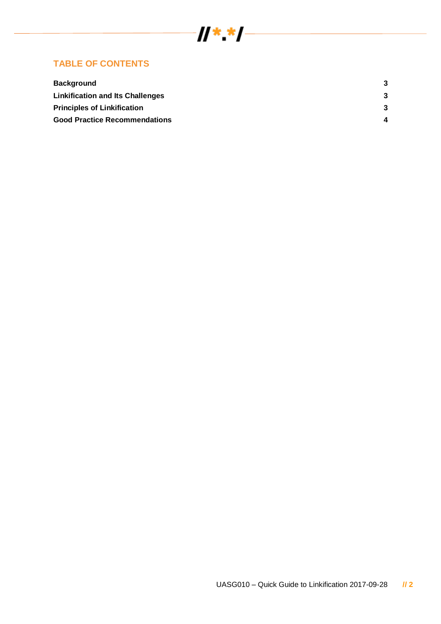

## **TABLE OF CONTENTS**

| <b>Background</b>                    | -3 |
|--------------------------------------|----|
| Linkification and Its Challenges     | -3 |
| <b>Principles of Linkification</b>   | -3 |
| <b>Good Practice Recommendations</b> | Δ  |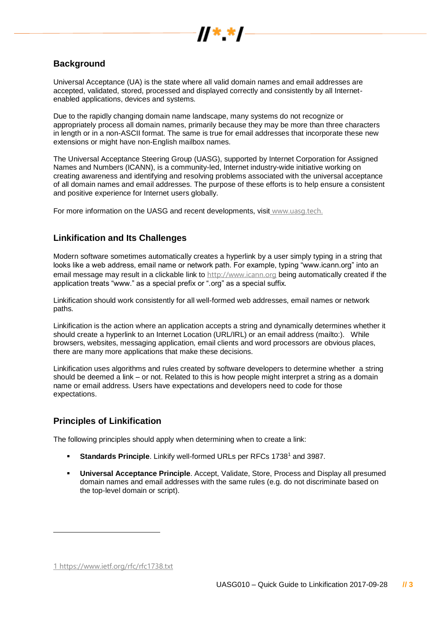

### **Background**

Universal Acceptance (UA) is the state where all valid domain names and email addresses are accepted, validated, stored, processed and displayed correctly and consistently by all Internetenabled applications, devices and systems.

Due to the rapidly changing domain name landscape, many systems do not recognize or appropriately process all domain names, primarily because they may be more than three characters in length or in a non-ASCII format. The same is true for email addresses that incorporate these new extensions or might have non-English mailbox names.

The Universal Acceptance Steering Group (UASG), supported by Internet Corporation for Assigned Names and Numbers (ICANN), is a community-led, Internet industry-wide initiative working on creating awareness and identifying and resolving problems associated with the universal acceptance of all domain names and email addresses. The purpose of these efforts is to help ensure a consistent and positive experience for Internet users globally.

For more informa[t](http://www.uasg.tech/)ion on the UASG and recent developments, visit [www.uasg.tech.](http://www.uasg.tech/)

### **Linkification and Its Challenges**

Modern software sometimes automatically creates a hyperlink by a user simply typing in a string that looks like a web address, email name or network path. For example, typing "www.icann.org" into an email message may result in a clickable link to [http://www.icann.org](http://www.icann.org/) being automatically created if the application treats "www." as a special prefix or ".org" as a special suffix.

Linkification should work consistently for all well-formed web addresses, email names or network paths.

Linkification is the action where an application accepts a string and dynamically determines whether it should create a hyperlink to an Internet Location (URL/IRL) or an email address (mailto:). While browsers, websites, messaging application, email clients and word processors are obvious places, there are many more applications that make these decisions.

Linkification uses algorithms and rules created by software developers to determine whether a string should be deemed a link – or not. Related to this is how people might interpret a string as a domain name or email address. Users have expectations and developers need to code for those expectations.

#### **Principles of Linkification**

The following principles should apply when determining when to create a link:

- **Standards Principle**. Linkify well-formed URLs per RFCs 1738<sup>1</sup> and 3987.
- **Universal Acceptance Principle**. Accept, Validate, Store, Process and Display all presumed domain names and email addresses with the same rules (e.g. do not discriminate based on the top-level domain or script).

l

<sup>1</sup> https://www.ietf.org/rfc/rfc1738.txt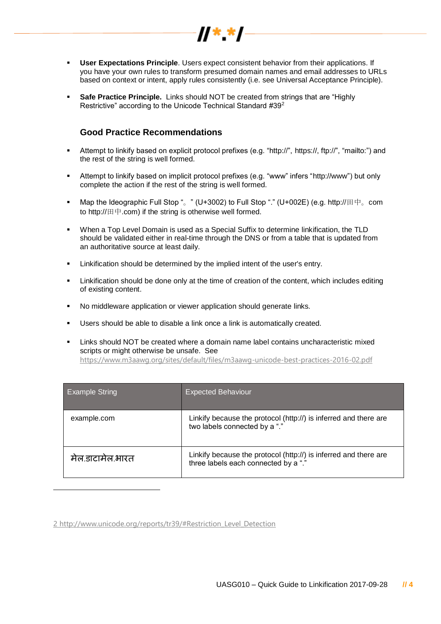

 $H^*$  \*  $\prime$ 

▪ **Safe Practice Principle.** Links should NOT be created from strings that are "Highly Restrictive" according to the Unicode Technical Standard #39<sup>2</sup>

#### **Good Practice Recommendations**

- Attempt to linkify based on explicit protocol prefixes (e.g. "http://", [https://,](about:blank) ftp://", "mailto:") and the rest of the string is well formed.
- Attempt to linkify based on implicit protocol prefixes (e.g. "www" infers ["http://www"](http://www/)) but only complete the action if the rest of the string is well formed.
- Map the Ideographic Full Stop "。" (U+3002) to Full Stop "." (U+002E) (e.g. http://田中。com to http://田中.com) if the string is otherwise well formed.
- When a Top Level Domain is used as a Special Suffix to determine linkification, the TLD should be validated either in real-time through the DNS or from a table that is updated from an authoritative source at least daily.
- **EXECUTE:** Linkification should be determined by the implied intent of the user's entry.
- **EXECT** Linkification should be done only at the time of creation of the content, which includes editing of existing content.
- No middleware application or viewer application should generate links.
- Users should be able to disable a link once a link is automatically created.
- Links should NOT be created where a domain name label contains uncharacteristic mixed scripts or might otherwise be unsafe. See <https://www.m3aawg.org/sites/default/files/m3aawg-unicode-best-practices-2016-02.pdf>

| <b>Example String</b> | <b>Expected Behaviour</b>                                                                                |
|-----------------------|----------------------------------------------------------------------------------------------------------|
| example.com           | Linkify because the protocol (http://) is inferred and there are<br>two labels connected by a "."        |
| मेल.डाटामेल.भारत      | Linkify because the protocol (http://) is inferred and there are<br>three labels each connected by a "." |

2 http://www.unicode.org/reports/tr39/#Restriction\_Level\_Detection

l